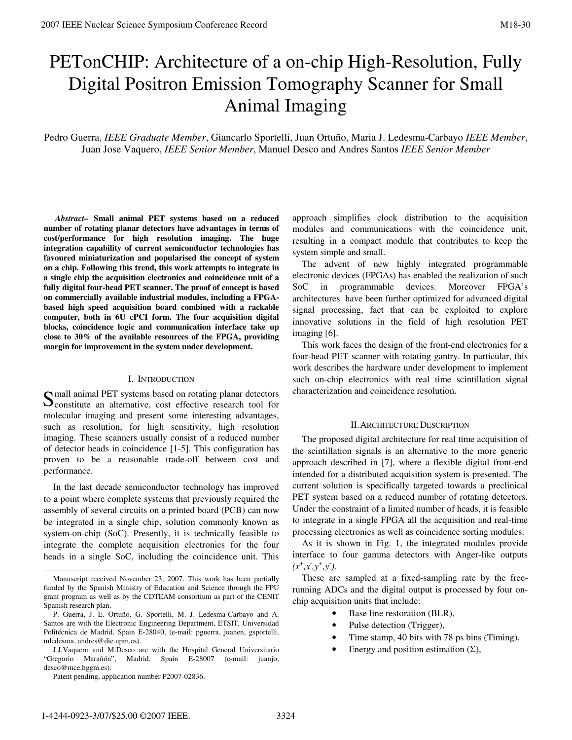# PETonCHIP: Architecture of a on-chip High-Resolution, Fully Digital Positron Emission Tomography Scanner for Small Animal Imaging

Pedro Guerra, *IEEE Graduate Member*, Giancarlo Sportelli, Juan Ortuño, Maria J. Ledesma-Carbayo *IEEE Member*, Juan Jose Vaquero, *IEEE Senior Member*, Manuel Desco and Andres Santos *IEEE Senior Member* 

 *Abstract–* **Small animal PET systems based on a reduced number of rotating planar detectors have advantages in terms of cost/performance for high resolution imaging. The huge integration capability of current semiconductor technologies has favoured miniaturization and popularised the concept of system on a chip. Following this trend, this work attempts to integrate in a single chip the acquisition electronics and coincidence unit of a fully digital four-head PET scanner. The proof of concept is based on commercially available industrial modules, including a FPGAbased high speed acquisition board combined with a rackable computer, both in 6U cPCI form. The four acquisition digital blocks, coincidence logic and communication interface take up close to 30% of the available resources of the FPGA, providing margin for improvement in the system under development.** 

### I. INTRODUCTION

mall animal PET systems based on rotating planar detectors Solutional Manimal PET systems based on rotating planar detectors<br>
Solution and alternative, cost effective research tool for molecular imaging and present some interesting advantages, such as resolution, for high sensitivity, high resolution imaging. These scanners usually consist of a reduced number of detector heads in coincidence [1-5]. This configuration has proven to be a reasonable trade-off between cost and performance.

In the last decade semiconductor technology has improved to a point where complete systems that previously required the assembly of several circuits on a printed board (PCB) can now be integrated in a single chip, solution commonly known as system-on-chip (SoC). Presently, it is technically feasible to integrate the complete acquisition electronics for the four heads in a single SoC, including the coincidence unit. This approach simplifies clock distribution to the acquisition modules and communications with the coincidence unit, resulting in a compact module that contributes to keep the system simple and small.

The advent of new highly integrated programmable electronic devices (FPGAs) has enabled the realization of such SoC in programmable devices. Moreover FPGA's architectures have been further optimized for advanced digital signal processing, fact that can be exploited to explore innovative solutions in the field of high resolution PET imaging [6].

This work faces the design of the front-end electronics for a four-head PET scanner with rotating gantry. In particular, this work describes the hardware under development to implement such on-chip electronics with real time scintillation signal characterization and coincidence resolution.

## II.ARCHITECTURE DESCRIPTION

The proposed digital architecture for real time acquisition of the scintillation signals is an alternative to the more generic approach described in [7], where a flexible digital front-end intended for a distributed acquisition system is presented. The current solution is specifically targeted towards a preclinical PET system based on a reduced number of rotating detectors. Under the constraint of a limited number of heads, it is feasible to integrate in a single FPGA all the acquisition and real-time processing electronics as well as coincidence sorting modules.

As it is shown in Fig. 1, the integrated modules provide interface to four gamma detectors with Anger-like outputs  $(x^+, x^-, y^+, y^-)$ .

These are sampled at a fixed-sampling rate by the freerunning ADCs and the digital output is processed by four onchip acquisition units that include:

- Base line restoration (BLR),
- Pulse detection (Trigger),
- Time stamp, 40 bits with 78 ps bins (Timing),
- Energy and position estimation  $(\Sigma)$ ,

Manuscript received November 23, 2007. This work has been partially funded by the Spanish Ministry of Education and Science through the FPU grant program as well as by the CDTEAM consortium as part of the CENIT Spanish research plan.

P. Guerra, J. E. Ortuño, G. Sportelli, M. J. Ledesma-Carbayo and A. Santos are with the Electronic Engineering Department, ETSIT, Universidad Politécnica de Madrid, Spain E-28040, (e-mail: pguerra, juanen, gsportelli, mledesma, andres@die.upm.es).

J.J.Vaquero and M.Desco are with the Hospital General Universitario "Gregorio Marañón", Madrid, Spain E-28007 (e-mail: juanjo, desco@mce.hggm.es).

Patent pending, application number P2007-02836.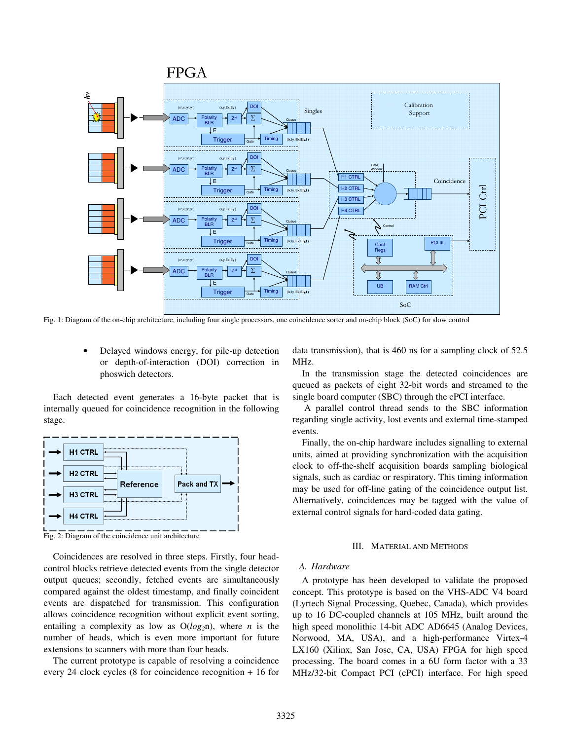

Fig. 1: Diagram of the on-chip architecture, including four single processors, one coincidence sorter and on-chip block (SoC) for slow control

• Delayed windows energy, for pile-up detection or depth-of-interaction (DOI) correction in phoswich detectors.

Each detected event generates a 16-byte packet that is internally queued for coincidence recognition in the following stage.



Fig. 2: Diagram of the coincidence unit architecture

Coincidences are resolved in three steps. Firstly, four headcontrol blocks retrieve detected events from the single detector output queues; secondly, fetched events are simultaneously compared against the oldest timestamp, and finally coincident events are dispatched for transmission. This configuration allows coincidence recognition without explicit event sorting, entailing a complexity as low as  $O(log_2 n)$ , where *n* is the number of heads, which is even more important for future extensions to scanners with more than four heads.

The current prototype is capable of resolving a coincidence every 24 clock cycles (8 for coincidence recognition + 16 for data transmission), that is 460 ns for a sampling clock of 52.5 MHz.

In the transmission stage the detected coincidences are queued as packets of eight 32-bit words and streamed to the single board computer (SBC) through the cPCI interface.

 A parallel control thread sends to the SBC information regarding single activity, lost events and external time-stamped events.

Finally, the on-chip hardware includes signalling to external units, aimed at providing synchronization with the acquisition clock to off-the-shelf acquisition boards sampling biological signals, such as cardiac or respiratory. This timing information may be used for off-line gating of the coincidence output list. Alternatively, coincidences may be tagged with the value of external control signals for hard-coded data gating.

## III. MATERIAL AND METHODS

#### *A. Hardware*

A prototype has been developed to validate the proposed concept. This prototype is based on the VHS-ADC V4 board (Lyrtech Signal Processing, Quebec, Canada), which provides up to 16 DC-coupled channels at 105 MHz, built around the high speed monolithic 14-bit ADC AD6645 (Analog Devices, Norwood, MA, USA), and a high-performance Virtex-4 LX160 (Xilinx, San Jose, CA, USA) FPGA for high speed processing. The board comes in a 6U form factor with a 33 MHz/32-bit Compact PCI (cPCI) interface. For high speed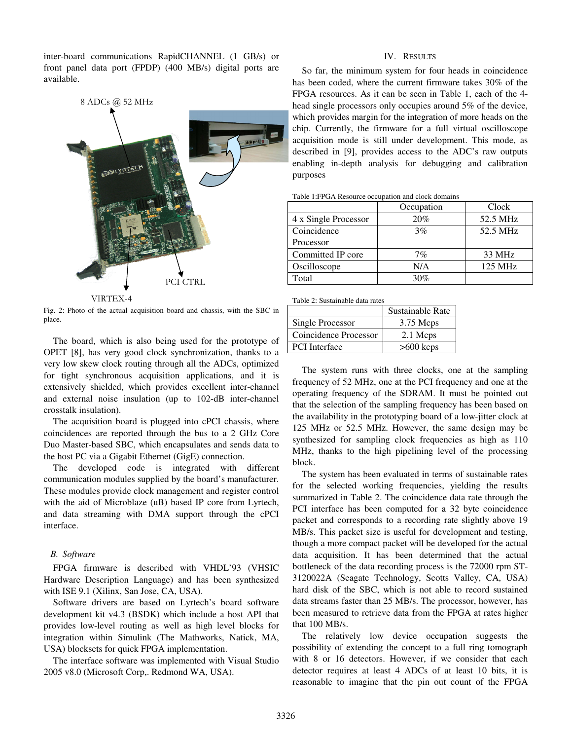inter-board communications RapidCHANNEL (1 GB/s) or front panel data port (FPDP) (400 MB/s) digital ports are available.



VIRTEX-4

Fig. 2: Photo of the actual acquisition board and chassis, with the SBC in place.

The board, which is also being used for the prototype of OPET [8], has very good clock synchronization, thanks to a very low skew clock routing through all the ADCs, optimized for tight synchronous acquisition applications, and it is extensively shielded, which provides excellent inter-channel and external noise insulation (up to 102-dB inter-channel crosstalk insulation).

The acquisition board is plugged into cPCI chassis, where coincidences are reported through the bus to a 2 GHz Core Duo Master-based SBC, which encapsulates and sends data to the host PC via a Gigabit Ethernet (GigE) connection.

The developed code is integrated with different communication modules supplied by the board's manufacturer. These modules provide clock management and register control with the aid of Microblaze (uB) based IP core from Lyrtech, and data streaming with DMA support through the cPCI interface.

## *B. Software*

FPGA firmware is described with VHDL'93 (VHSIC Hardware Description Language) and has been synthesized with ISE 9.1 (Xilinx, San Jose, CA, USA).

Software drivers are based on Lyrtech's board software development kit v4.3 (BSDK) which include a host API that provides low-level routing as well as high level blocks for integration within Simulink (The Mathworks, Natick, MA, USA) blocksets for quick FPGA implementation.

The interface software was implemented with Visual Studio 2005 v8.0 (Microsoft Corp,. Redmond WA, USA).

## IV. RESULTS

So far, the minimum system for four heads in coincidence has been coded, where the current firmware takes 30% of the FPGA resources. As it can be seen in Table 1, each of the 4 head single processors only occupies around 5% of the device, which provides margin for the integration of more heads on the chip. Currently, the firmware for a full virtual oscilloscope acquisition mode is still under development. This mode, as described in [9], provides access to the ADC's raw outputs enabling in-depth analysis for debugging and calibration purposes

Table 1:FPGA Resource occupation and clock domains

|                      | Occupation | Clock    |
|----------------------|------------|----------|
| 4 x Single Processor | 20%        | 52.5 MHz |
| Coincidence          | 3%         | 52.5 MHz |
| Processor            |            |          |
| Committed IP core    | 7%         | 33 MHz   |
| Oscilloscope         | N/A        | 125 MHz  |
| Total                | 30\%       |          |

Table 2: Sustainable data rates

|                       | Sustainable Rate |
|-----------------------|------------------|
| Single Processor      | $3.75$ Mcps      |
| Coincidence Processor | 2.1 Mcps         |
| <b>PCI</b> Interface  | $>600$ kcps      |

The system runs with three clocks, one at the sampling frequency of 52 MHz, one at the PCI frequency and one at the operating frequency of the SDRAM. It must be pointed out that the selection of the sampling frequency has been based on the availability in the prototyping board of a low-jitter clock at 125 MHz or 52.5 MHz. However, the same design may be synthesized for sampling clock frequencies as high as 110 MHz, thanks to the high pipelining level of the processing block.

The system has been evaluated in terms of sustainable rates for the selected working frequencies, yielding the results summarized in Table 2. The coincidence data rate through the PCI interface has been computed for a 32 byte coincidence packet and corresponds to a recording rate slightly above 19 MB/s. This packet size is useful for development and testing, though a more compact packet will be developed for the actual data acquisition. It has been determined that the actual bottleneck of the data recording process is the 72000 rpm ST-3120022A (Seagate Technology, Scotts Valley, CA, USA) hard disk of the SBC, which is not able to record sustained data streams faster than 25 MB/s. The processor, however, has been measured to retrieve data from the FPGA at rates higher that 100 MB/s.

The relatively low device occupation suggests the possibility of extending the concept to a full ring tomograph with 8 or 16 detectors. However, if we consider that each detector requires at least 4 ADCs of at least 10 bits, it is reasonable to imagine that the pin out count of the FPGA